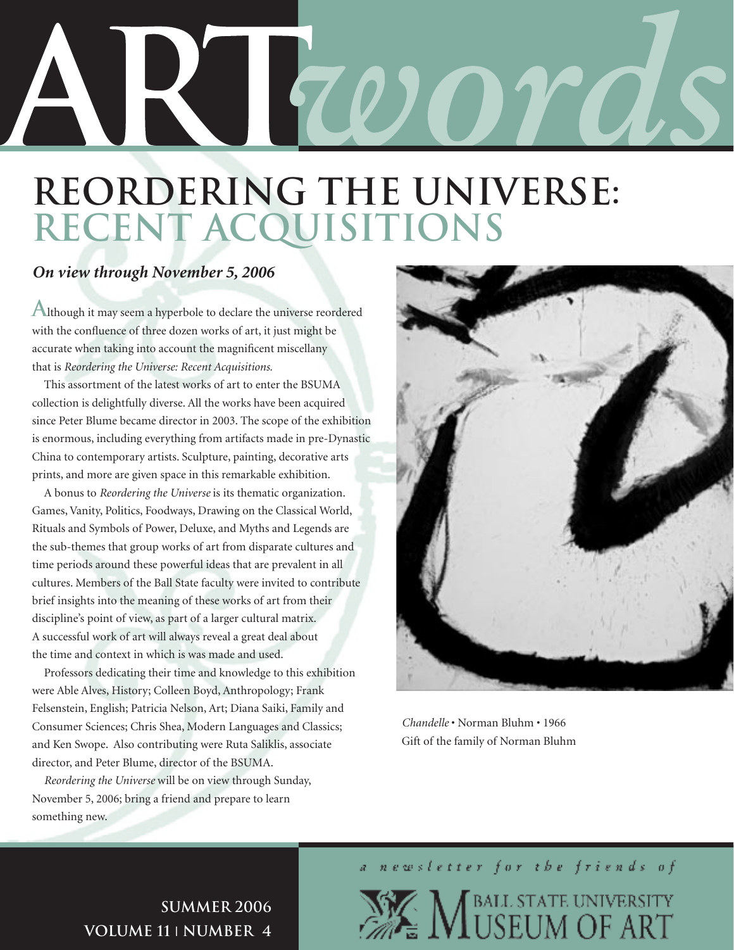# RIZOOTOS

# **Reordering the Universe: Recent Acquisitions**

#### *On view through November 5, 2006*

Although it may seem a hyperbole to declare the universe reordered with the confluence of three dozen works of art, it just might be accurate when taking into account the magnificent miscellany that is *Reordering the Universe: Recent Acquisitions.* 

 This assortment of the latest works of art to enter the BSUMA collection is delightfully diverse. All the works have been acquired since Peter Blume became director in 2003. The scope of the exhibition is enormous, including everything from artifacts made in pre-Dynastic China to contemporary artists. Sculpture, painting, decorative arts prints, and more are given space in this remarkable exhibition.

 A bonus to *Reordering the Universe* is its thematic organization. Games, Vanity, Politics, Foodways, Drawing on the Classical World, Rituals and Symbols of Power, Deluxe, and Myths and Legends are the sub-themes that group works of art from disparate cultures and time periods around these powerful ideas that are prevalent in all cultures. Members of the Ball State faculty were invited to contribute brief insights into the meaning of these works of art from their discipline's point of view, as part of a larger cultural matrix. A successful work of art will always reveal a great deal about the time and context in which is was made and used.

 Professors dedicating their time and knowledge to this exhibition were Able Alves, History; Colleen Boyd, Anthropology; Frank Felsenstein, English; Patricia Nelson, Art; Diana Saiki, Family and Consumer Sciences; Chris Shea, Modern Languages and Classics; and Ken Swope. Also contributing were Ruta Saliklis, associate director, and Peter Blume, director of the BSUMA.

*Reordering the Universe* will be on view through Sunday, November 5, 2006; bring a friend and prepare to learn something new.



*Chandelle* • Norman Bluhm • 1966 Gift of the family of Norman Bluhm

a newsletter for the friends of

**NEALL STATE UNIVERSITY** 

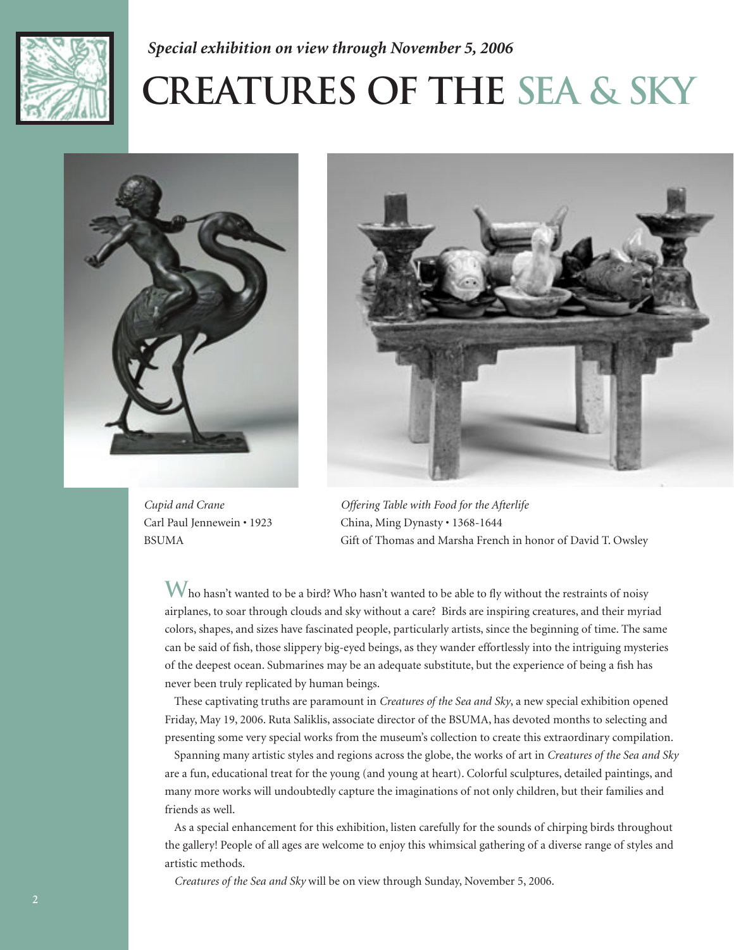

#### *Special exhibition on view through November 5, 2006*

# **Creatures of the Sea & Sky**





*Cupid and Crane* Carl Paul Jennewein • 1923 BSUMA

*Offering Table with Food for the Afterlife* China, Ming Dynasty • 1368-1644 Gift of Thomas and Marsha French in honor of David T. Owsley

Who hasn't wanted to be a bird? Who hasn't wanted to be able to fly without the restraints of noisy airplanes, to soar through clouds and sky without a care? Birds are inspiring creatures, and their myriad colors, shapes, and sizes have fascinated people, particularly artists, since the beginning of time. The same can be said of fish, those slippery big-eyed beings, as they wander effortlessly into the intriguing mysteries of the deepest ocean. Submarines may be an adequate substitute, but the experience of being a fish has never been truly replicated by human beings.

 These captivating truths are paramount in *Creatures of the Sea and Sky*, a new special exhibition opened Friday, May 19, 2006. Ruta Saliklis, associate director of the BSUMA, has devoted months to selecting and presenting some very special works from the museum's collection to create this extraordinary compilation.

 Spanning many artistic styles and regions across the globe, the works of art in *Creatures of the Sea and Sky*  are a fun, educational treat for the young (and young at heart). Colorful sculptures, detailed paintings, and many more works will undoubtedly capture the imaginations of not only children, but their families and friends as well.

 As a special enhancement for this exhibition, listen carefully for the sounds of chirping birds throughout the gallery! People of all ages are welcome to enjoy this whimsical gathering of a diverse range of styles and artistic methods.

*Creatures of the Sea and Sky* will be on view through Sunday, November 5, 2006.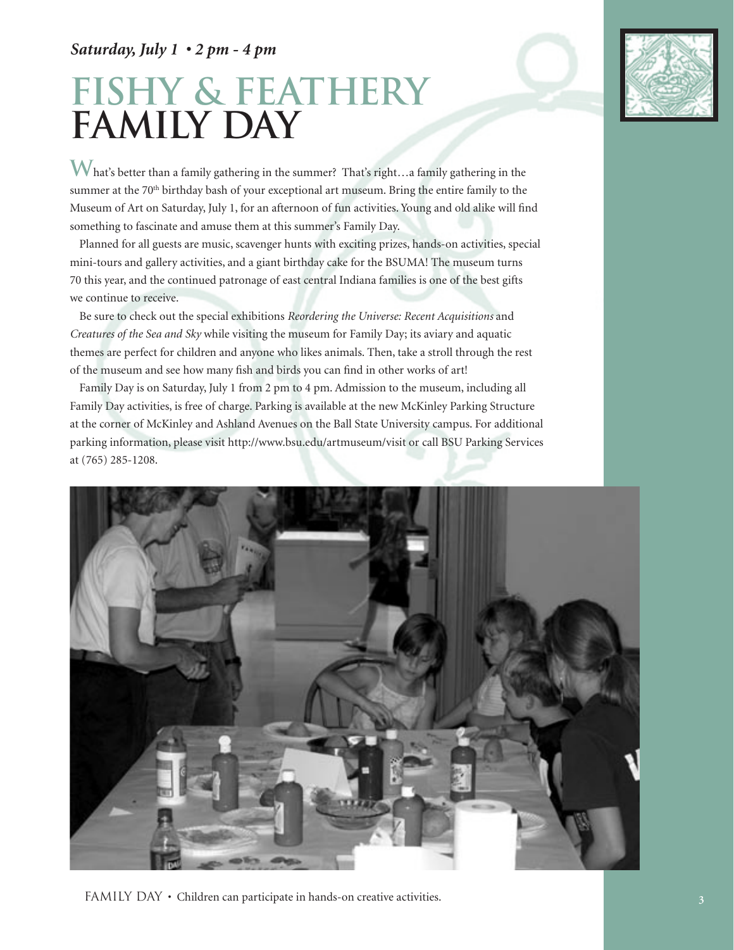#### *Saturday, July 1 • 2 pm - 4 pm*

# **fishy & feathery Family Day**



**W**hat's better than a family gathering in the summer? That's right…a family gathering in the summer at the 70<sup>th</sup> birthday bash of your exceptional art museum. Bring the entire family to the Museum of Art on Saturday, July 1, for an afternoon of fun activities. Young and old alike will find something to fascinate and amuse them at this summer's Family Day.

 Planned for all guests are music, scavenger hunts with exciting prizes, hands-on activities, special mini-tours and gallery activities, and a giant birthday cake for the BSUMA! The museum turns 70 this year, and the continued patronage of east central Indiana families is one of the best gifts we continue to receive.

 Be sure to check out the special exhibitions *Reordering the Universe: Recent Acquisitions* and *Creatures of the Sea and Sky* while visiting the museum for Family Day; its aviary and aquatic themes are perfect for children and anyone who likes animals. Then, take a stroll through the rest of the museum and see how many fish and birds you can find in other works of art!

 Family Day is on Saturday, July 1 from 2 pm to 4 pm. Admission to the museum, including all Family Day activities, is free of charge. Parking is available at the new McKinley Parking Structure at the corner of McKinley and Ashland Avenues on the Ball State University campus. For additional parking information, please visit http://www.bsu.edu/artmuseum/visit or call BSU Parking Services at (765) 285-1208.

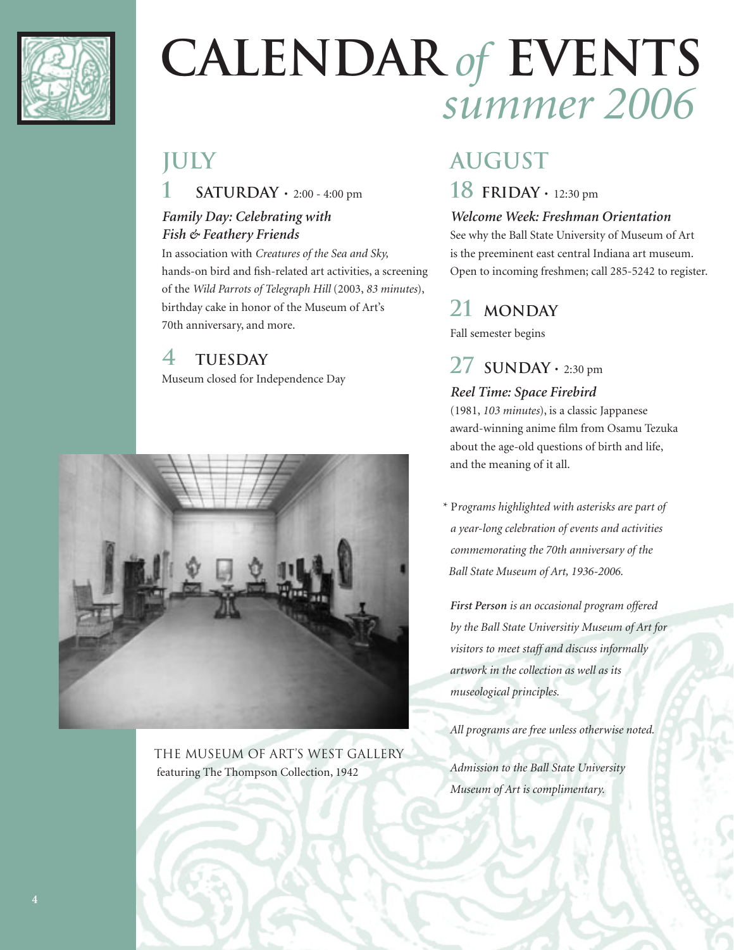

# **CALENDAR** *of* **EVENTS** *summer 2006*

# **july**

**1 saturday** • 2:00 - 4:00 pm

#### *Family Day: Celebrating with Fish & Feathery Friends*

In association with *Creatures of the Sea and Sky,* hands-on bird and fish-related art activities, a screening of the *Wild Parrots of Telegraph Hill* (2003, *83 minutes*), birthday cake in honor of the Museum of Art's 70th anniversary, and more.

## **4 tuesday**

Museum closed for Independence Day



the museum of art's west gallery featuring The Thompson Collection, 1942

# **august**

### **18 friday** • 12:30 pm

#### *Welcome Week: Freshman Orientation*

See why the Ball State University of Museum of Art is the preeminent east central Indiana art museum. Open to incoming freshmen; call 285-5242 to register.

# **21 monday**

Fall semester begins

# $27$  **SUNDAY**  $\cdot$  2:30 pm

#### *Reel Time: Space Firebird*

(1981, *103 minutes*), is a classic Jappanese award-winning anime film from Osamu Tezuka about the age-old questions of birth and life, and the meaning of it all.

\* P*rograms highlighted with asterisks are part of a year-long celebration of events and activities commemorating the 70th anniversary of the Ball State Museum of Art, 1936-2006.*

*First Person is an occasional program offered by the Ball State Universitiy Museum of Art for visitors to meet staff and discuss informally artwork in the collection as well as its museological principles.*

*All programs are free unless otherwise noted.*

*Admission to the Ball State University Museum of Art is complimentary.*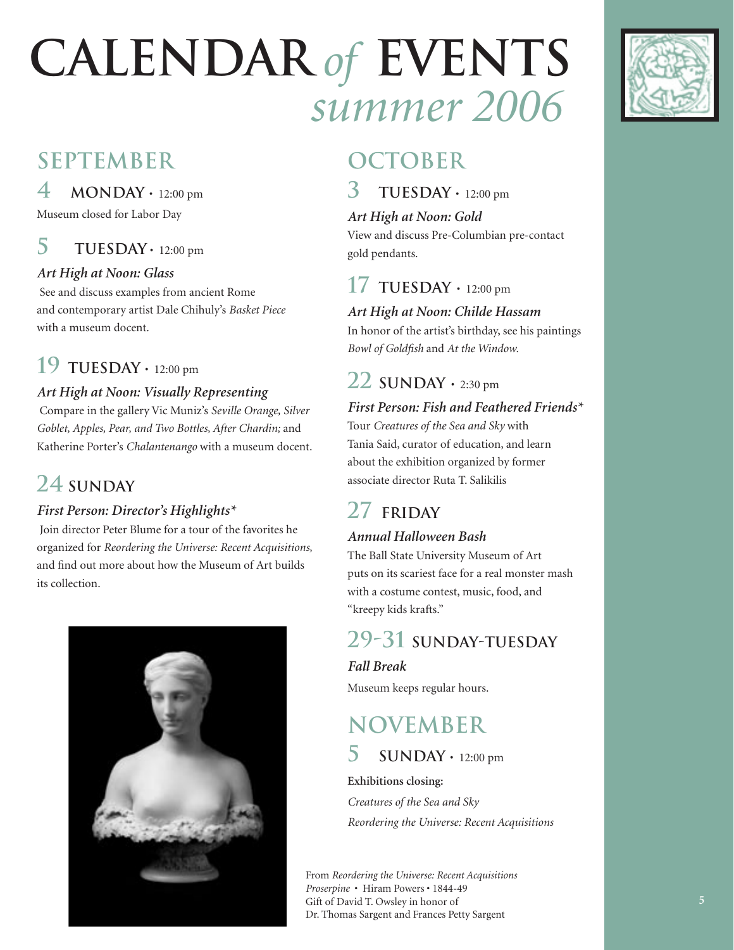# **CALENDAR** *of* **EVENTS** *summer 2006*

# **september**

**4 monday** • 12:00 pm

Museum closed for Labor Day

# $5$  **TUESDAY** • 12:00 pm

#### *Art High at Noon: Glass*

 See and discuss examples from ancient Rome and contemporary artist Dale Chihuly's *Basket Piece* with a museum docent.

# **19 tuesday** • 12:00 pm

#### *Art High at Noon: Visually Representing*

 Compare in the gallery Vic Muniz's *Seville Orange, Silver Goblet, Apples, Pear, and Two Bottles, After Chardin;* and Katherine Porter's *Chalantenango* with a museum docent.

# **24 sunday**

### *First Person: Director's Highlights\**

 Join director Peter Blume for a tour of the favorites he organized for *Reordering the Universe: Recent Acquisitions,*  and find out more about how the Museum of Art builds its collection.



# **october**

 $\textbf{TUESDAY} \cdot 12:00 \text{ pm}$ 

#### *Art High at Noon: Gold*

View and discuss Pre-Columbian pre-contact gold pendants.

# **17 TUESDAY**  $\cdot$  12:00 pm

*Art High at Noon: Childe Hassam*

In honor of the artist's birthday, see his paintings *Bowl of Goldfish* and *At the Window.*

# $22$  **SUNDAY**  $\cdot$  2:30 pm

#### *First Person: Fish and Feathered Friends\**

Tour *Creatures of the Sea and Sky* with Tania Said, curator of education, and learn about the exhibition organized by former associate director Ruta T. Salikilis

# **27 friday**

#### *Annual Halloween Bash*

The Ball State University Museum of Art puts on its scariest face for a real monster mash with a costume contest, music, food, and "kreepy kids krafts."

# **29-31 sunday-tuesday**

#### *Fall Break*

Museum keeps regular hours.

# **november**

### **5 SUNDAY**  $\cdot$  12:00 pm

**Exhibitions closing:** *Creatures of the Sea and Sky Reordering the Universe: Recent Acquisitions*

From *Reordering the Universe: Recent Acquisitions Proserpine* • Hiram Powers • 1844-49 Gift of David T. Owsley in honor of Dr. Thomas Sargent and Frances Petty Sargent

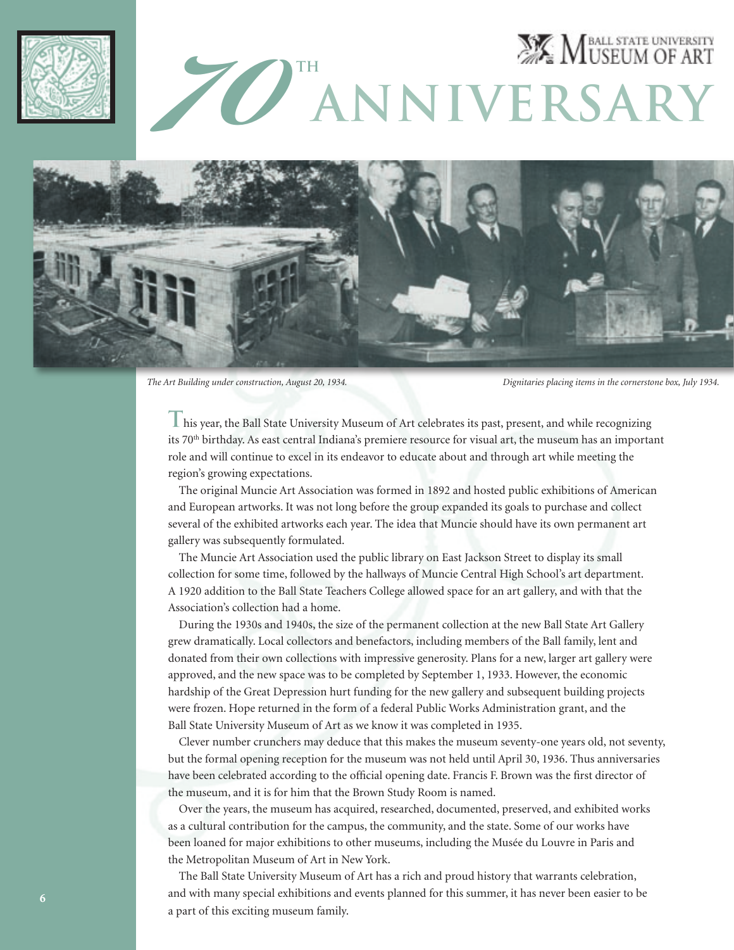



*The Art Building under construction, August 20, 1934. Dignitaries placing items in the cornerstone box, July 1934.* 

**T**his year, the Ball State University Museum of Art celebrates its past, present, and while recognizing its 70th birthday. As east central Indiana's premiere resource for visual art, the museum has an important role and will continue to excel in its endeavor to educate about and through art while meeting the region's growing expectations.

 The original Muncie Art Association was formed in 1892 and hosted public exhibitions of American and European artworks. It was not long before the group expanded its goals to purchase and collect several of the exhibited artworks each year. The idea that Muncie should have its own permanent art gallery was subsequently formulated.

 The Muncie Art Association used the public library on East Jackson Street to display its small collection for some time, followed by the hallways of Muncie Central High School's art department. A 1920 addition to the Ball State Teachers College allowed space for an art gallery, and with that the Association's collection had a home.

 During the 1930s and 1940s, the size of the permanent collection at the new Ball State Art Gallery grew dramatically. Local collectors and benefactors, including members of the Ball family, lent and donated from their own collections with impressive generosity. Plans for a new, larger art gallery were approved, and the new space was to be completed by September 1, 1933. However, the economic hardship of the Great Depression hurt funding for the new gallery and subsequent building projects were frozen. Hope returned in the form of a federal Public Works Administration grant, and the Ball State University Museum of Art as we know it was completed in 1935.

 Clever number crunchers may deduce that this makes the museum seventy-one years old, not seventy, but the formal opening reception for the museum was not held until April 30, 1936. Thus anniversaries have been celebrated according to the official opening date. Francis F. Brown was the first director of the museum, and it is for him that the Brown Study Room is named.

 Over the years, the museum has acquired, researched, documented, preserved, and exhibited works as a cultural contribution for the campus, the community, and the state. Some of our works have been loaned for major exhibitions to other museums, including the Musée du Louvre in Paris and the Metropolitan Museum of Art in New York.

 The Ball State University Museum of Art has a rich and proud history that warrants celebration, and with many special exhibitions and events planned for this summer, it has never been easier to be a part of this exciting museum family.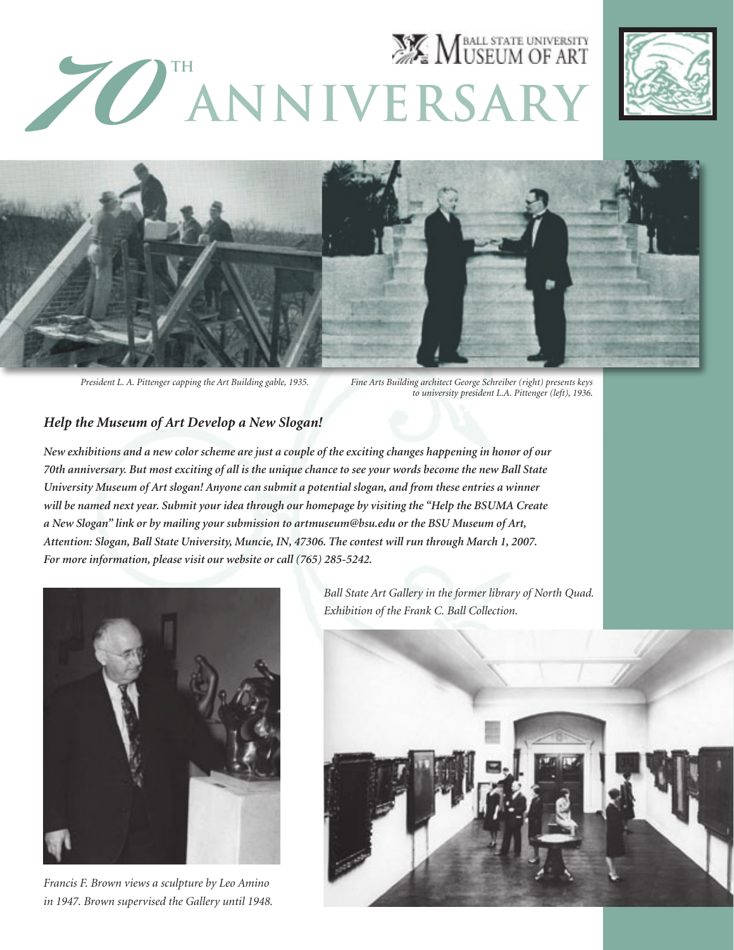# **EX MUSEUM OF ART ANNIVERSARY**





*President L. A. Pittenger capping the Art Building gable, 1935.* 

*Fine Arts Building architect George Schreiber (right) presents keys to university president L.A. Pittenger (left), 1936*.

#### *Help the Museum of Art Develop a New Slogan!*

*New exhibitions and a new color scheme are just a couple of the exciting changes happening in honor of our 70th anniversary. But most exciting of all is the unique chance to see your words become the new Ball State University Museum of Art slogan! Anyone can submit a potential slogan, and from these entries a winner will be named next year. Submit your idea through our homepage by visiting the "Help the BSUMA Create a New Slogan" link or by mailing your submission to artmuseum@bsu.edu or the BSU Museum of Art, Attention: Slogan, Ball State University, Muncie, IN, 47306. The contest will run through March 1, 2007. For more information, please visit our website or call (765) 285-5242.* 



*Francis F. Brown views a sculpture by Leo Amino in 1947. Brown supervised the Gallery until 1948.*

*Ball State Art Gallery in the former library of North Quad. Exhibition of the Frank C. Ball Collection.*